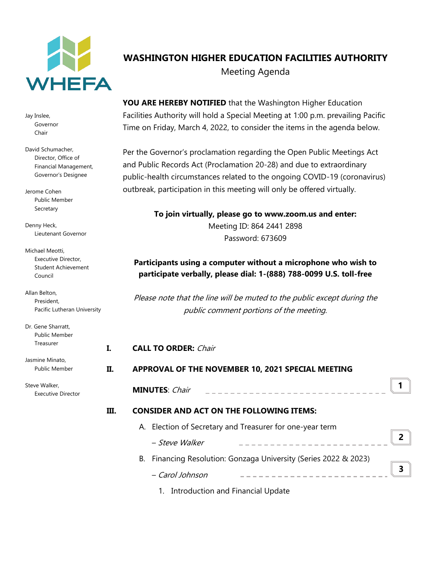

Jay Inslee, Governor Chair

David Schumacher, Director, Office of Financial Management, Governor's Designee

Jerome Cohen Public Member Secretary

Denny Heck, Lieutenant Governor

Michael Meotti, Executive Director, Student Achievement Council

Allan Belton, President, Pacific Lutheran University

Dr. Gene Sharratt, Public Member Treasurer

Jasmine Minato, Public Member Steve Walker,

Executive Director

# **WASHINGTON HIGHER EDUCATION FACILITIES AUTHORITY** Meeting Agenda

**YOU ARE HEREBY NOTIFIED** that the Washington Higher Education Facilities Authority will hold a Special Meeting at 1:00 p.m. prevailing Pacific Time on Friday, March 4, 2022, to consider the items in the agenda below.

Per the Governor's proclamation regarding the Open Public Meetings Act and Public Records Act (Proclamation 20-28) and due to extraordinary public-health circumstances related to the ongoing COVID-19 (coronavirus) outbreak, participation in this meeting will only be offered virtually.

> **To join virtually, please go to www.zoom.us and enter:** Meeting ID: 864 2441 2898 Password: 673609

## **Participants using a computer without a microphone who wish to participate verbally, please dial: 1-(888) 788-0099 U.S. toll-free**

Please note that the line will be muted to the public except during the public comment portions of the meeting.

|      |                                                   | <b>CALL TO ORDER: Chair</b>                                      |   |
|------|---------------------------------------------------|------------------------------------------------------------------|---|
| II.  | APPROVAL OF THE NOVEMBER 10, 2021 SPECIAL MEETING |                                                                  |   |
|      |                                                   | <b>MINUTES</b> : Chair                                           |   |
| III. | <b>CONSIDER AND ACT ON THE FOLLOWING ITEMS:</b>   |                                                                  |   |
|      |                                                   | A. Election of Secretary and Treasurer for one-year term         |   |
|      |                                                   | - Steve Walker                                                   | 2 |
|      |                                                   | B. Financing Resolution: Gonzaga University (Series 2022 & 2023) |   |
|      |                                                   | - Carol Johnson                                                  | ર |

1. Introduction and Financial Update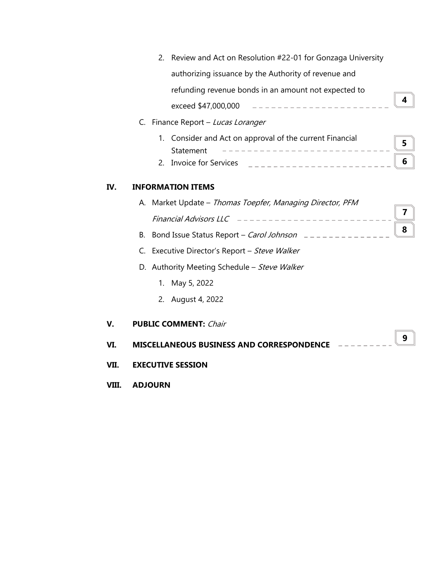|      |    | Review and Act on Resolution #22-01 for Gonzaga University<br>2.         |   |
|------|----|--------------------------------------------------------------------------|---|
|      |    | authorizing issuance by the Authority of revenue and                     |   |
|      |    | refunding revenue bonds in an amount not expected to                     |   |
|      |    | ---------------------<br>exceed \$47,000,000                             | 4 |
|      | C. | Finance Report – Lucas Loranger                                          |   |
|      |    | Consider and Act on approval of the current Financial<br>1.<br>Statement | 5 |
|      |    | Invoice for Services $\qquad$ _ _ _ _ _ _ _ _ _ _ _ _ _ _ _ _ _ _<br>2.  | 6 |
| IV.  |    | <b>INFORMATION ITEMS</b>                                                 |   |
|      |    | A. Market Update - Thomas Toepfer, Managing Director, PFM                |   |
|      |    |                                                                          | 7 |
|      | В. | Bond Issue Status Report - Carol Johnson _____________                   | 8 |
|      |    | C. Executive Director's Report - Steve Walker                            |   |
|      |    | D. Authority Meeting Schedule - Steve Walker                             |   |
|      |    | 1. May 5, 2022                                                           |   |
|      |    | 2. August 4, 2022                                                        |   |
| V.   |    | <b>PUBLIC COMMENT: Chair</b>                                             |   |
| VI.  |    | <b>MISCELLANEOUS BUSINESS AND CORRESPONDENCE</b>                         | 9 |
| VII. |    | <b>EXECUTIVE SESSION</b>                                                 |   |

**VIII. ADJOURN**